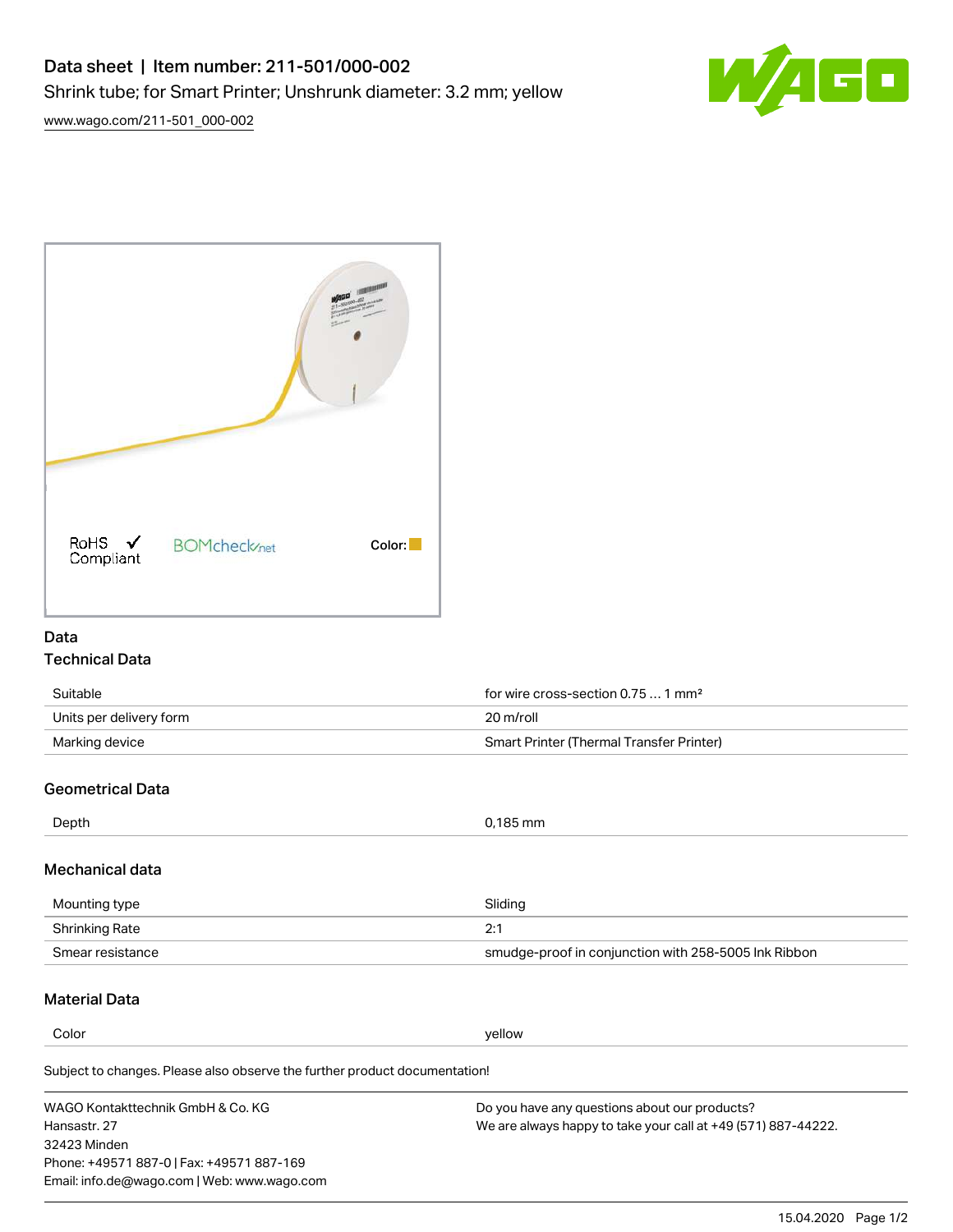

[www.wago.com/211-501\\_000-002](http://www.wago.com/211-501_000-002)



### Data Technical Data

| Suitable                | for wire cross-section $0.751$ mm <sup>2</sup>  |
|-------------------------|-------------------------------------------------|
| Units per delivery form | 20 m/roll                                       |
| Marking device          | <b>Smart Printer (Thermal Transfer Printer)</b> |

# Geometrical Data

| Depth                                          | 0,185 mm |  |
|------------------------------------------------|----------|--|
|                                                |          |  |
| <b>Address that the control of the control</b> |          |  |

# Mechanical data

| Mounting type    | Sliding                                              |  |
|------------------|------------------------------------------------------|--|
| Shrinking Rate   | า∙                                                   |  |
| Smear resistance | smudge-proof in conjunction with 258-5005 Ink Ribbon |  |

# Material Data

**Color** yellow yellow

Subject to changes. Please also observe the further product documentation!

WAGO Kontakttechnik GmbH & Co. KG Hansastr. 27 32423 Minden Phone: +49571 887-0 | Fax: +49571 887-169 Email: info.de@wago.com | Web: www.wago.com Do you have any questions about our products? We are always happy to take your call at +49 (571) 887-44222.